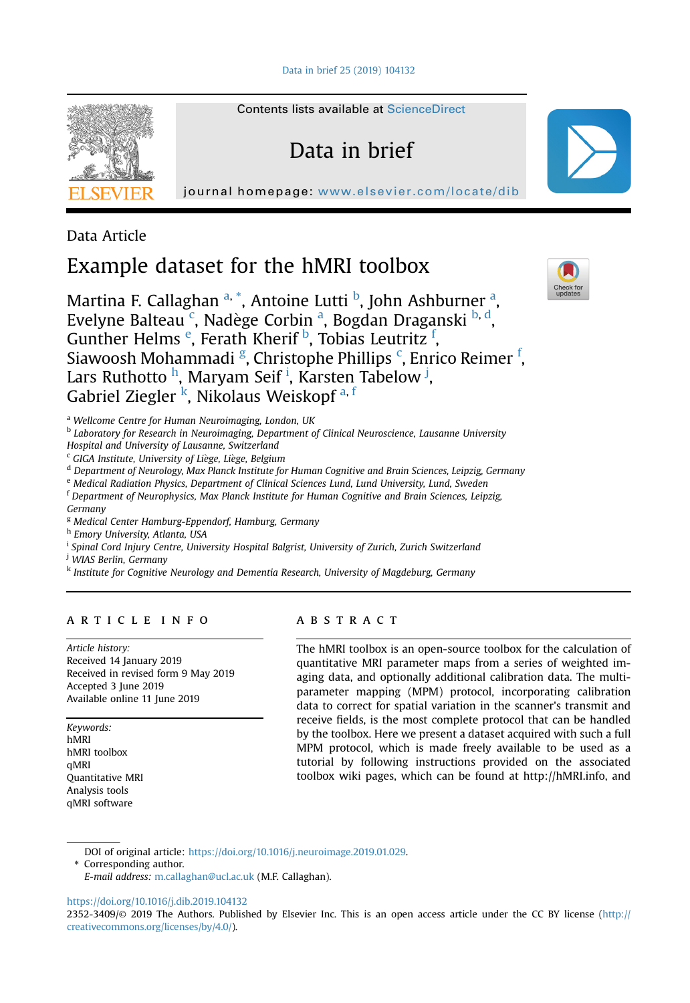[Data in brief 25 \(2019\) 104132](https://doi.org/10.1016/j.dib.2019.104132)



Contents lists available at [ScienceDirect](www.sciencedirect.com/science/journal/23523409)

# Data in brief

journal homepage: <www.elsevier.com/locate/dib>

Data Article

# Example dataset for the hMRI toolbox

Martina F. Callaghan <sup>a, \*</sup>, Antoine Lutti <sup>b</sup>, John Ashburner <sup>a</sup>, Evelyne Balteau<sup>c</sup>, Nadège Corbin<sup>a</sup>, Bogdan Draganski <sup>b, d</sup>, Gunther Helms <sup>e</sup>, Ferath Kherif <sup>b</sup>, Tobias Leutritz <sup>f</sup>, Siawoosh Mohammadi <sup>g</sup>, Christophe Phillips <sup>c</sup>, Enrico Reimer <sup>f</sup>, Lars Ruthotto <sup>h</sup>, Maryam Seif <sup>i</sup>, Karsten Tabelow <sup>j</sup>, Gabriel Ziegler<sup>k</sup>, Nikolaus Weiskopf<sup>a, f</sup>

<sup>a</sup> Wellcome Centre for Human Neuroimaging, London, UK

<sup>b</sup> Laboratory for Research in Neuroimaging, Department of Clinical Neuroscience, Lausanne University Hospital and University of Lausanne, Switzerland

<sup>c</sup> GIGA Institute, University of Liege, Liege, Belgium

<sup>d</sup> Department of Neurology, Max Planck Institute for Human Cognitive and Brain Sciences, Leipzig, Germany

<sup>e</sup> Medical Radiation Physics, Department of Clinical Sciences Lund, Lund University, Lund, Sweden

<sup>f</sup> Department of Neurophysics, Max Planck Institute for Human Cognitive and Brain Sciences, Leipzig, Germany

<sup>g</sup> Medical Center Hamburg-Eppendorf, Hamburg, Germany

h Emory University, Atlanta, USA

<sup>i</sup> Spinal Cord Injury Centre, University Hospital Balgrist, University of Zurich, Zurich Switzerland

<sup>j</sup> WIAS Berlin, Germany

<sup>k</sup> Institute for Cognitive Neurology and Dementia Research, University of Magdeburg, Germany

## article info

Article history: Received 14 January 2019 Received in revised form 9 May 2019 Accepted 3 June 2019 Available online 11 June 2019

Keywords: hMRI hMRI toolbox qMRI Quantitative MRI Analysis tools qMRI software

## **ABSTRACT**

The hMRI toolbox is an open-source toolbox for the calculation of quantitative MRI parameter maps from a series of weighted imaging data, and optionally additional calibration data. The multiparameter mapping (MPM) protocol, incorporating calibration data to correct for spatial variation in the scanner's transmit and receive fields, is the most complete protocol that can be handled by the toolbox. Here we present a dataset acquired with such a full MPM protocol, which is made freely available to be used as a tutorial by following instructions provided on the associated toolbox wiki pages, which can be found at http://hMRI.info, and

DOI of original article: <https://doi.org/10.1016/j.neuroimage.2019.01.029>.

\* Corresponding author.

E-mail address: [m.callaghan@ucl.ac.uk](mailto:m.callaghan@ucl.ac.uk) (M.F. Callaghan).

<https://doi.org/10.1016/j.dib.2019.104132>



<sup>2352-3409/</sup>© 2019 The Authors. Published by Elsevier Inc. This is an open access article under the CC BY license ([http://](http://creativecommons.org/licenses/by/4.0/) [creativecommons.org/licenses/by/4.0/](http://creativecommons.org/licenses/by/4.0/)).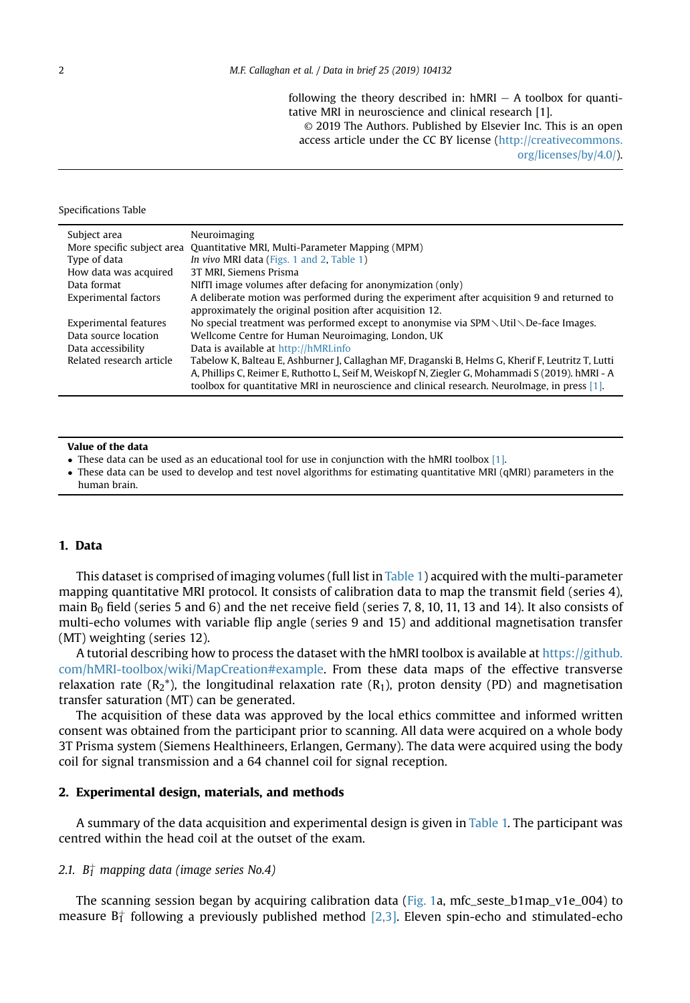following the theory described in:  $hMRI - A$  toolbox for quantitative MRI in neuroscience and clinical research [1]. © 2019 The Authors. Published by Elsevier Inc. This is an open access article under the CC BY license [\(http://creativecommons.](http://creativecommons.org/licenses/by/4.0/) [org/licenses/by/4.0/\)](http://creativecommons.org/licenses/by/4.0/).

#### Specifications Table

| Subject area             | Neuroimaging                                                                                               |  |
|--------------------------|------------------------------------------------------------------------------------------------------------|--|
|                          | More specific subject area Quantitative MRI, Multi-Parameter Mapping (MPM)                                 |  |
| Type of data             | In vivo MRI data (Figs. 1 and 2, Table 1)                                                                  |  |
| How data was acquired    | 3T MRI. Siemens Prisma                                                                                     |  |
| Data format              | NIfTI image volumes after defacing for anonymization (only)                                                |  |
| Experimental factors     | A deliberate motion was performed during the experiment after acquisition 9 and returned to                |  |
|                          | approximately the original position after acquisition 12.                                                  |  |
| Experimental features    | No special treatment was performed except to anonymise via $SPM \setminus Util \setminus De$ -face Images. |  |
| Data source location     | Wellcome Centre for Human Neuroimaging, London, UK                                                         |  |
| Data accessibility       | Data is available at http://hMRLinfo                                                                       |  |
| Related research article | Tabelow K, Balteau E, Ashburner J, Callaghan MF, Draganski B, Helms G, Kherif F, Leutritz T, Lutti         |  |
|                          | A, Phillips C, Reimer E, Ruthotto L, Seif M, Weiskopf N, Ziegler G, Mohammadi S (2019). hMRI - A           |  |
|                          | toolbox for quantitative MRI in neuroscience and clinical research. NeuroImage, in press [1].              |  |

#### Value of the data

- $\bullet$  These data can be used as an educational tool for use in conjunction with the hMRI toolbox [\[1\]](#page-5-0).
- These data can be used to develop and test novel algorithms for estimating quantitative MRI (qMRI) parameters in the human brain.

## 1. Data

This dataset is comprised of imaging volumes (full list in [Table 1](#page-2-0)) acquired with the multi-parameter mapping quantitative MRI protocol. It consists of calibration data to map the transmit field (series 4), main  $B_0$  field (series 5 and 6) and the net receive field (series 7, 8, 10, 11, 13 and 14). It also consists of multi-echo volumes with variable flip angle (series 9 and 15) and additional magnetisation transfer (MT) weighting (series 12).

A tutorial describing how to process the dataset with the hMRI toolbox is available at [https://github.](https://github.com/hMRI-toolbox/wiki/MapCreation#example) [com/hMRI-toolbox/wiki/MapCreation#example](https://github.com/hMRI-toolbox/wiki/MapCreation#example). From these data maps of the effective transverse relaxation rate  $(R_2^*)$ , the longitudinal relaxation rate  $(R_1)$ , proton density (PD) and magnetisation transfer saturation (MT) can be generated.

The acquisition of these data was approved by the local ethics committee and informed written consent was obtained from the participant prior to scanning. All data were acquired on a whole body 3T Prisma system (Siemens Healthineers, Erlangen, Germany). The data were acquired using the body coil for signal transmission and a 64 channel coil for signal reception.

### 2. Experimental design, materials, and methods

A summary of the data acquisition and experimental design is given in [Table 1.](#page-2-0) The participant was centred within the head coil at the outset of the exam.

#### 2.1.  $\,B^+_I$  mapping data (image series No.4)

The scanning session began by acquiring calibration data [\(Fig. 1](#page-2-0)a, mfc\_seste\_b1map\_v1e\_004) to measure B $_1^+$  following a previously published method [\[2,3\].](#page-5-0) Eleven spin-echo and stimulated-echo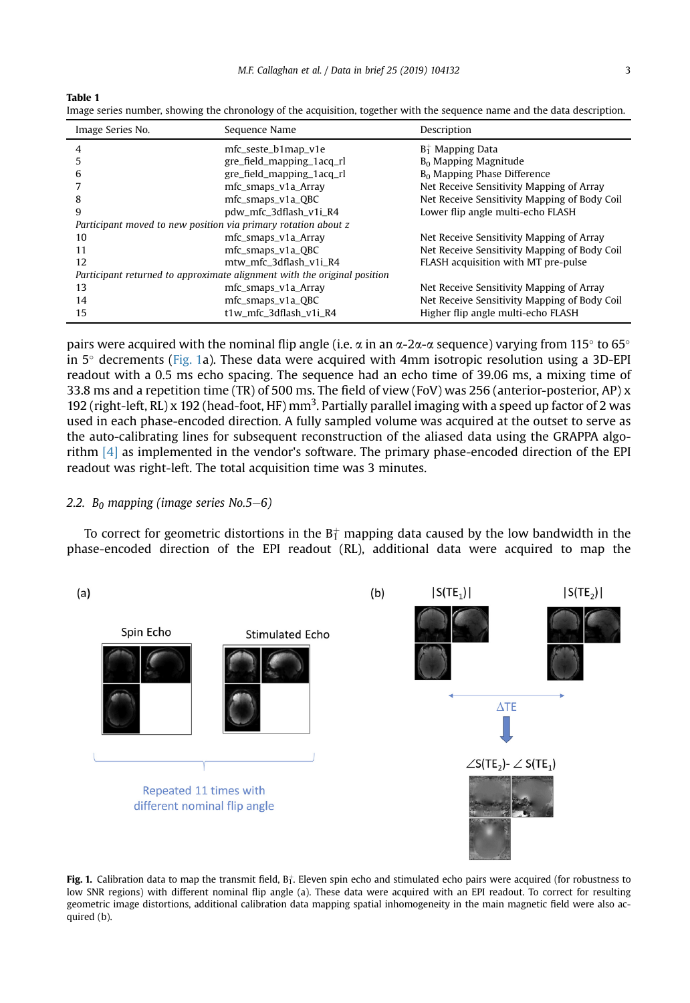<span id="page-2-0"></span>Table 1

| Image series number, showing the chronology of the acquisition, together with the sequence name and the data description. |  |
|---------------------------------------------------------------------------------------------------------------------------|--|
|---------------------------------------------------------------------------------------------------------------------------|--|

| Image Series No.                                                         | Sequence Name             | Description                                  |  |  |
|--------------------------------------------------------------------------|---------------------------|----------------------------------------------|--|--|
| 4                                                                        | mfc_seste_b1map_v1e       | $B_1^+$ Mapping Data                         |  |  |
|                                                                          | gre_field_mapping_1acq_rl | B <sub>0</sub> Mapping Magnitude             |  |  |
| 6                                                                        | gre_field_mapping_1acq_rl | $B0$ Mapping Phase Difference                |  |  |
|                                                                          | mfc_smaps_v1a_Array       | Net Receive Sensitivity Mapping of Array     |  |  |
| 8                                                                        | mfc_smaps_v1a_QBC         | Net Receive Sensitivity Mapping of Body Coil |  |  |
| 9                                                                        | pdw_mfc_3dflash_v1i_R4    | Lower flip angle multi-echo FLASH            |  |  |
| Participant moved to new position via primary rotation about z           |                           |                                              |  |  |
| 10                                                                       | mfc_smaps_v1a_Array       | Net Receive Sensitivity Mapping of Array     |  |  |
| 11                                                                       | mfc_smaps_v1a_QBC         | Net Receive Sensitivity Mapping of Body Coil |  |  |
| 12                                                                       | mtw mfc 3dflash v1i R4    | FLASH acquisition with MT pre-pulse          |  |  |
| Participant returned to approximate alignment with the original position |                           |                                              |  |  |
| 13                                                                       | mfc_smaps_v1a_Array       | Net Receive Sensitivity Mapping of Array     |  |  |
| 14                                                                       | mfc_smaps_v1a_QBC         | Net Receive Sensitivity Mapping of Body Coil |  |  |
| 15                                                                       | t1w mfc 3dflash v1i R4    | Higher flip angle multi-echo FLASH           |  |  |

pairs were acquired with the nominal flip angle (i.e.  $\alpha$  in an  $\alpha$ -2 $\alpha$ - $\alpha$  sequence) varying from 115 $^{\circ}$  to 65 $^{\circ}$ in  $5^\circ$  decrements (Fig. 1a). These data were acquired with 4mm isotropic resolution using a 3D-EPI readout with a 0.5 ms echo spacing. The sequence had an echo time of 39.06 ms, a mixing time of 33.8 ms and a repetition time (TR) of 500 ms. The field of view (FoV) was 256 (anterior-posterior, AP) x 192 (right-left, RL) x 192 (head-foot, HF) mm<sup>3</sup>. Partially parallel imaging with a speed up factor of 2 was used in each phase-encoded direction. A fully sampled volume was acquired at the outset to serve as the auto-calibrating lines for subsequent reconstruction of the aliased data using the GRAPPA algorithm [\[4\]](#page-5-0) as implemented in the vendor's software. The primary phase-encoded direction of the EPI readout was right-left. The total acquisition time was 3 minutes.

### 2.2. B<sub>0</sub> mapping (image series No.5-6)

To correct for geometric distortions in the B† mapping data caused by the low bandwidth in the phase-encoded direction of the EPI readout (RL), additional data were acquired to map the



Fig. 1. Calibration data to map the transmit field,  $B_1^+$ . Eleven spin echo and stimulated echo pairs were acquired (for robustness to low SNR regions) with different nominal flip angle (a). These data were acquired with an EPI readout. To correct for resulting geometric image distortions, additional calibration data mapping spatial inhomogeneity in the main magnetic field were also acquired (b).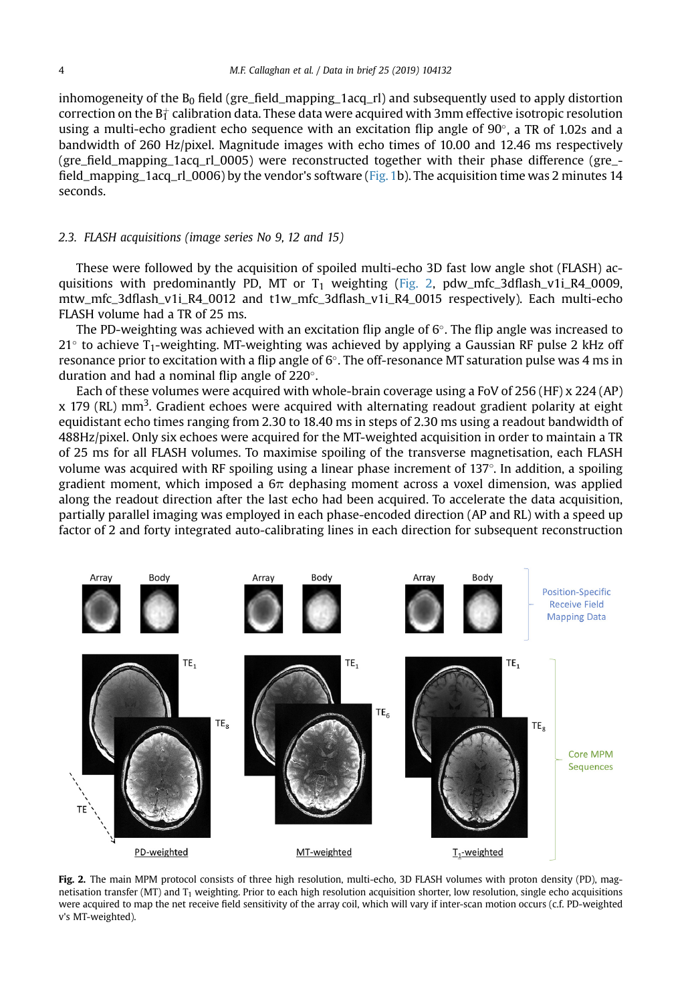<span id="page-3-0"></span>inhomogeneity of the  $B_0$  field (gre\_field\_mapping\_1acq\_rl) and subsequently used to apply distortion correction on the B $\dagger$  calibration data. These data were acquired with 3mm effective isotropic resolution using a multi-echo gradient echo sequence with an excitation flip angle of  $90^\circ$ , a TR of 1.02s and a bandwidth of 260 Hz/pixel. Magnitude images with echo times of 10.00 and 12.46 ms respectively (gre\_field\_mapping\_1acq\_rl\_0005) were reconstructed together with their phase difference (gre\_ field\_mapping\_1acq\_rl\_0006) by the vendor's software ([Fig. 1](#page-2-0)b). The acquisition time was 2 minutes 14 seconds.

### 2.3. FLASH acquisitions (image series No 9, 12 and 15)

These were followed by the acquisition of spoiled multi-echo 3D fast low angle shot (FLASH) acquisitions with predominantly PD, MT or  $T_1$  weighting (Fig. 2, pdw mfc 3dflash v1i R4 0009, mtw\_mfc\_3dflash\_v1i\_R4\_0012 and t1w\_mfc\_3dflash\_v1i\_R4\_0015 respectively). Each multi-echo FLASH volume had a TR of 25 ms.

The PD-weighting was achieved with an excitation flip angle of  $6^\circ$ . The flip angle was increased to  $21^{\circ}$  to achieve T<sub>1</sub>-weighting. MT-weighting was achieved by applying a Gaussian RF pulse 2 kHz off resonance prior to excitation with a flip angle of  $6^{\circ}$ . The off-resonance MT saturation pulse was 4 ms in duration and had a nominal flip angle of  $220^\circ$ .

Each of these volumes were acquired with whole-brain coverage using a FoV of 256 (HF) x 224 (AP) x 179 (RL) mm<sup>3</sup>. Gradient echoes were acquired with alternating readout gradient polarity at eight equidistant echo times ranging from 2.30 to 18.40 ms in steps of 2.30 ms using a readout bandwidth of 488Hz/pixel. Only six echoes were acquired for the MT-weighted acquisition in order to maintain a TR of 25 ms for all FLASH volumes. To maximise spoiling of the transverse magnetisation, each FLASH volume was acquired with RF spoiling using a linear phase increment of 137 . In addition, a spoiling gradient moment, which imposed a  $6\pi$  dephasing moment across a voxel dimension, was applied along the readout direction after the last echo had been acquired. To accelerate the data acquisition, partially parallel imaging was employed in each phase-encoded direction (AP and RL) with a speed up factor of 2 and forty integrated auto-calibrating lines in each direction for subsequent reconstruction



Fig. 2. The main MPM protocol consists of three high resolution, multi-echo, 3D FLASH volumes with proton density (PD), magnetisation transfer (MT) and  $T_1$  weighting. Prior to each high resolution acquisition shorter, low resolution, single echo acquisitions were acquired to map the net receive field sensitivity of the array coil, which will vary if inter-scan motion occurs (c.f. PD-weighted v's MT-weighted).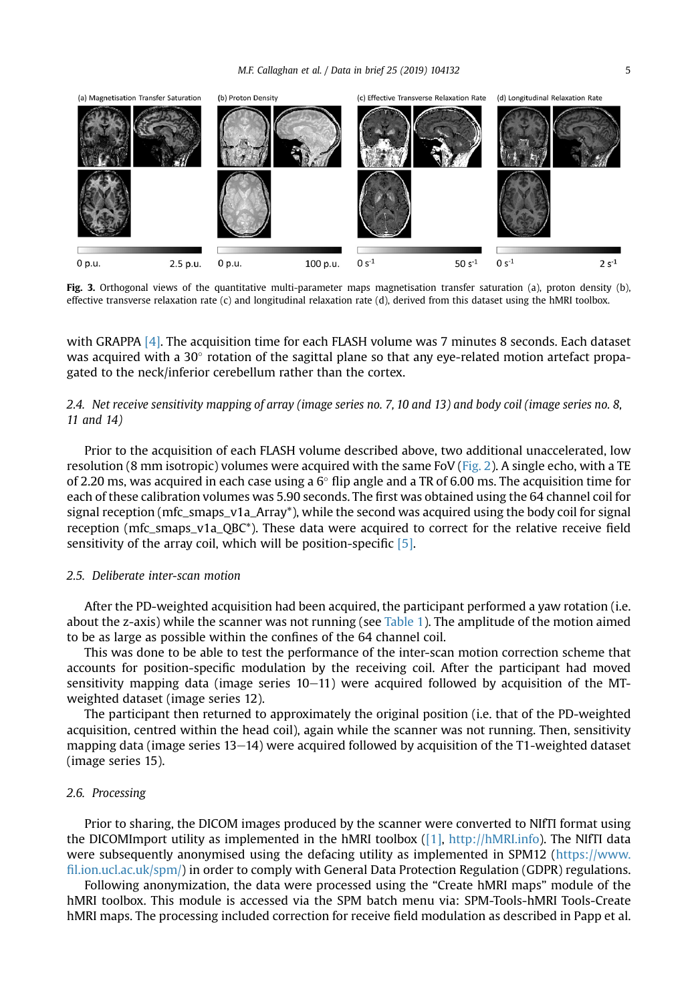<span id="page-4-0"></span>

Fig. 3. Orthogonal views of the quantitative multi-parameter maps magnetisation transfer saturation (a), proton density (b), effective transverse relaxation rate (c) and longitudinal relaxation rate (d), derived from this dataset using the hMRI toolbox.

with GRAPPA [\[4\].](#page-5-0) The acquisition time for each FLASH volume was 7 minutes 8 seconds. Each dataset was acquired with a 30 $\degree$  rotation of the sagittal plane so that any eye-related motion artefact propagated to the neck/inferior cerebellum rather than the cortex.

## 2.4. Net receive sensitivity mapping of array (image series no. 7, 10 and 13) and body coil (image series no. 8, 11 and 14)

Prior to the acquisition of each FLASH volume described above, two additional unaccelerated, low resolution (8 mm isotropic) volumes were acquired with the same FoV ([Fig. 2](#page-3-0)). A single echo, with a TE of 2.20 ms, was acquired in each case using a  $6^{\circ}$  flip angle and a TR of 6.00 ms. The acquisition time for each of these calibration volumes was 5.90 seconds. The first was obtained using the 64 channel coil for signal reception (mfc\_smaps\_v1a\_Array\*), while the second was acquired using the body coil for signal reception (mfc\_smaps\_v1a\_QBC\*). These data were acquired to correct for the relative receive field sensitivity of the array coil, which will be position-specific [\[5\]](#page-5-0).

#### 2.5. Deliberate inter-scan motion

After the PD-weighted acquisition had been acquired, the participant performed a yaw rotation (i.e. about the z-axis) while the scanner was not running (see [Table 1\)](#page-2-0). The amplitude of the motion aimed to be as large as possible within the confines of the 64 channel coil.

This was done to be able to test the performance of the inter-scan motion correction scheme that accounts for position-specific modulation by the receiving coil. After the participant had moved sensitivity mapping data (image series  $10-11$ ) were acquired followed by acquisition of the MTweighted dataset (image series 12).

The participant then returned to approximately the original position (i.e. that of the PD-weighted acquisition, centred within the head coil), again while the scanner was not running. Then, sensitivity mapping data (image series 13-14) were acquired followed by acquisition of the T1-weighted dataset (image series 15).

## 2.6. Processing

Prior to sharing, the DICOM images produced by the scanner were converted to NIfTI format using the DICOMImport utility as implemented in the hMRI toolbox ([\[1\],](#page-5-0) [http://hMRI.info\)](http://hMRI.info). The NIfTI data were subsequently anonymised using the defacing utility as implemented in SPM12 [\(https://www.](https://www.fil.ion.ucl.ac.uk/spm/) fi[l.ion.ucl.ac.uk/spm/](https://www.fil.ion.ucl.ac.uk/spm/)) in order to comply with General Data Protection Regulation (GDPR) regulations.

Following anonymization, the data were processed using the "Create hMRI maps" module of the hMRI toolbox. This module is accessed via the SPM batch menu via: SPM-Tools-hMRI Tools-Create hMRI maps. The processing included correction for receive field modulation as described in Papp et al.